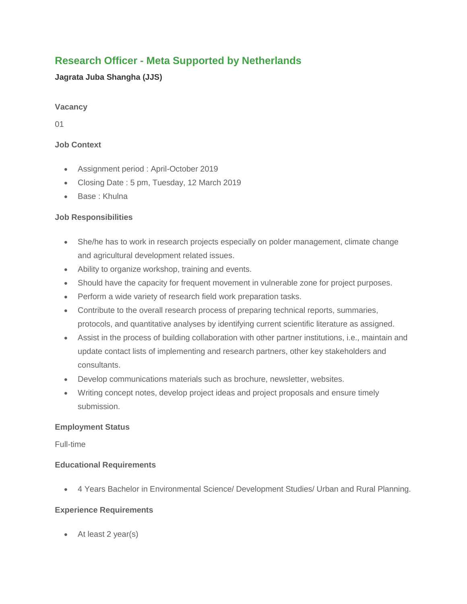# **Research Officer - Meta Supported by Netherlands**

# **Jagrata Juba Shangha (JJS)**

### **Vacancy**

01

# **Job Context**

- Assignment period : April-October 2019
- Closing Date: 5 pm, Tuesday, 12 March 2019
- Base: Khulna

## **Job Responsibilities**

- She/he has to work in research projects especially on polder management, climate change and agricultural development related issues.
- Ability to organize workshop, training and events.
- Should have the capacity for frequent movement in vulnerable zone for project purposes.
- Perform a wide variety of research field work preparation tasks.
- Contribute to the overall research process of preparing technical reports, summaries, protocols, and quantitative analyses by identifying current scientific literature as assigned.
- Assist in the process of building collaboration with other partner institutions, i.e., maintain and update contact lists of implementing and research partners, other key stakeholders and consultants.
- Develop communications materials such as brochure, newsletter, websites.
- Writing concept notes, develop project ideas and project proposals and ensure timely submission.

### **Employment Status**

Full-time

### **Educational Requirements**

4 Years Bachelor in Environmental Science/ Development Studies/ Urban and Rural Planning.

### **Experience Requirements**

At least 2 year(s)